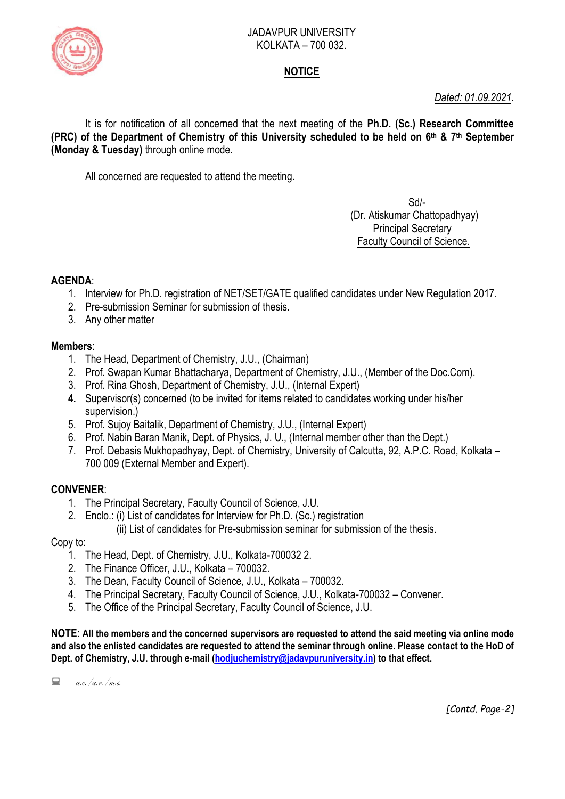

#### JADAVPUR UNIVERSITY KOLKATA – 700 032.

# **NOTICE**

*Dated: 01.09.2021.*

It is for notification of all concerned that the next meeting of the **Ph.D. (Sc.) Research Committee (PRC) of the Department of Chemistry of this University scheduled to be held on 6 th & 7th September (Monday & Tuesday)** through online mode.

All concerned are requested to attend the meeting.

 Sd/- (Dr. Atiskumar Chattopadhyay) Principal Secretary Faculty Council of Science.

## **AGENDA**:

- 1. Interview for Ph.D. registration of NET/SET/GATE qualified candidates under New Regulation 2017.
- 2. Pre-submission Seminar for submission of thesis.
- 3. Any other matter

## **Members**:

- 1. The Head, Department of Chemistry, J.U., (Chairman)
- 2. Prof. Swapan Kumar Bhattacharya, Department of Chemistry, J.U., (Member of the Doc.Com).
- 3. Prof. Rina Ghosh, Department of Chemistry, J.U., (Internal Expert)
- **4.** Supervisor(s) concerned (to be invited for items related to candidates working under his/her supervision.)
- 5. Prof. Sujoy Baitalik, Department of Chemistry, J.U., (Internal Expert)
- 6. Prof. Nabin Baran Manik, Dept. of Physics, J. U., (Internal member other than the Dept.)
- 7. Prof. Debasis Mukhopadhyay, Dept. of Chemistry, University of Calcutta, 92, A.P.C. Road, Kolkata 700 009 (External Member and Expert).

## **CONVENER**:

- 1. The Principal Secretary, Faculty Council of Science, J.U.
- 2. Enclo.: (i) List of candidates for Interview for Ph.D. (Sc.) registration

(ii) List of candidates for Pre-submission seminar for submission of the thesis.

Copy to:

- 1. The Head, Dept. of Chemistry, J.U., Kolkata-700032 2.
- 2. The Finance Officer, J.U., Kolkata 700032.
- 3. The Dean, Faculty Council of Science, J.U., Kolkata 700032.
- 4. The Principal Secretary, Faculty Council of Science, J.U., Kolkata-700032 Convener.
- 5. The Office of the Principal Secretary, Faculty Council of Science, J.U.

**NOTE**: **All the members and the concerned supervisors are requested to attend the said meeting via online mode and also the enlisted candidates are requested to attend the seminar through online. Please contact to the HoD of Dept. of Chemistry, J.U. through e-mail [\(hodjuchemistry@jadavpuruniversity.in\)](mailto:hodjuchemistry@jadavpuruniversity.in) to that effect.**

 $\Box$  a.e./a.r./m.s.

*[Contd. Page-2]*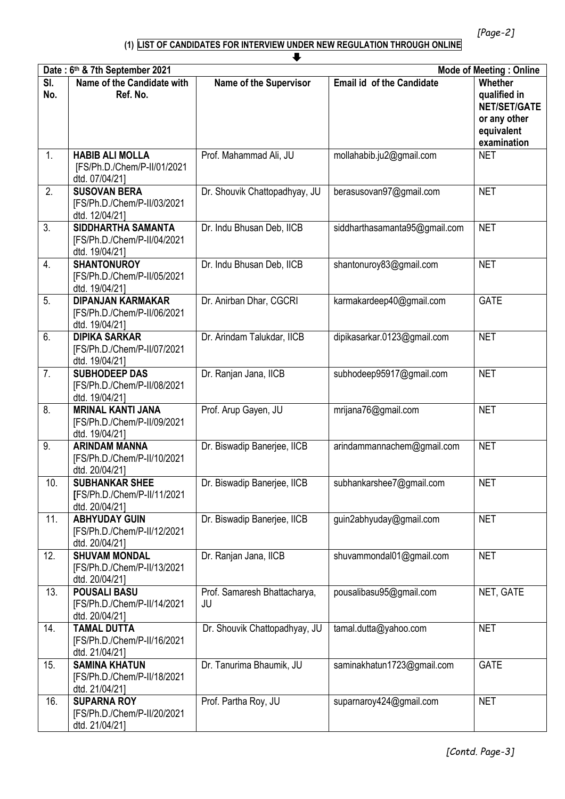#### **(1) LIST OF CANDIDATES FOR INTERVIEW UNDER NEW REGULATION THROUGH ONLINE**

| J                |                                                                           |                                    |                                  |                                                                                                    |
|------------------|---------------------------------------------------------------------------|------------------------------------|----------------------------------|----------------------------------------------------------------------------------------------------|
|                  | Date: 6th & 7th September 2021                                            |                                    |                                  | <b>Mode of Meeting: Online</b>                                                                     |
| SI.<br>No.       | Name of the Candidate with<br>Ref. No.                                    | <b>Name of the Supervisor</b>      | <b>Email id of the Candidate</b> | <b>Whether</b><br>qualified in<br><b>NET/SET/GATE</b><br>or any other<br>equivalent<br>examination |
| $\mathbf{1}$ .   | <b>HABIB ALI MOLLA</b><br>[FS/Ph.D./Chem/P-II/01/2021<br>dtd. 07/04/21]   | Prof. Mahammad Ali, JU             | mollahabib.ju2@gmail.com         | <b>NET</b>                                                                                         |
| 2.               | <b>SUSOVAN BERA</b><br>[FS/Ph.D./Chem/P-II/03/2021<br>dtd. 12/04/21]      | Dr. Shouvik Chattopadhyay, JU      | berasusovan97@gmail.com          | <b>NET</b>                                                                                         |
| $\overline{3}$ . | SIDDHARTHA SAMANTA<br>[FS/Ph.D./Chem/P-II/04/2021<br>dtd. 19/04/21]       | Dr. Indu Bhusan Deb, IICB          | siddharthasamanta95@gmail.com    | <b>NET</b>                                                                                         |
| 4.               | <b>SHANTONUROY</b><br>[FS/Ph.D./Chem/P-II/05/2021<br>dtd. 19/04/21]       | Dr. Indu Bhusan Deb, IICB          | shantonuroy83@gmail.com          | <b>NET</b>                                                                                         |
| 5.               | <b>DIPANJAN KARMAKAR</b><br>[FS/Ph.D./Chem/P-II/06/2021<br>dtd. 19/04/21] | Dr. Anirban Dhar, CGCRI            | karmakardeep40@gmail.com         | <b>GATE</b>                                                                                        |
| 6.               | <b>DIPIKA SARKAR</b><br>[FS/Ph.D./Chem/P-II/07/2021<br>dtd. 19/04/21]     | Dr. Arindam Talukdar, IICB         | dipikasarkar.0123@gmail.com      | <b>NET</b>                                                                                         |
| 7.               | <b>SUBHODEEP DAS</b><br>[FS/Ph.D./Chem/P-II/08/2021<br>dtd. 19/04/21]     | Dr. Ranjan Jana, IICB              | subhodeep95917@gmail.com         | <b>NET</b>                                                                                         |
| 8.               | <b>MRINAL KANTI JANA</b><br>[FS/Ph.D./Chem/P-II/09/2021<br>dtd. 19/04/21] | Prof. Arup Gayen, JU               | mrijana76@gmail.com              | <b>NET</b>                                                                                         |
| 9.               | <b>ARINDAM MANNA</b><br>[FS/Ph.D./Chem/P-II/10/2021<br>dtd. 20/04/21]     | Dr. Biswadip Banerjee, IICB        | arindammannachem@gmail.com       | <b>NET</b>                                                                                         |
| 10.              | <b>SUBHANKAR SHEE</b><br>[FS/Ph.D./Chem/P-II/11/2021<br>dtd. 20/04/21]    | Dr. Biswadip Banerjee, IICB        | subhankarshee7@gmail.com         | <b>NET</b>                                                                                         |
| 11.              | <b>ABHYUDAY GUIN</b><br>[FS/Ph.D./Chem/P-II/12/2021<br>dtd. 20/04/21]     | Dr. Biswadip Banerjee, IICB        | guin2abhyuday@gmail.com          | <b>NET</b>                                                                                         |
| 12.              | <b>SHUVAM MONDAL</b><br>[FS/Ph.D./Chem/P-II/13/2021<br>dtd. 20/04/21]     | Dr. Ranjan Jana, IICB              | shuvammondal01@gmail.com         | <b>NET</b>                                                                                         |
| 13.              | <b>POUSALI BASU</b><br>[FS/Ph.D./Chem/P-II/14/2021<br>dtd. 20/04/21]      | Prof. Samaresh Bhattacharya,<br>JU | pousalibasu95@gmail.com          | NET, GATE                                                                                          |
| 14.              | <b>TAMAL DUTTA</b><br>[FS/Ph.D./Chem/P-II/16/2021<br>dtd. 21/04/21]       | Dr. Shouvik Chattopadhyay, JU      | tamal.dutta@yahoo.com            | <b>NET</b>                                                                                         |
| 15.              | <b>SAMINA KHATUN</b><br>[FS/Ph.D./Chem/P-II/18/2021<br>dtd. 21/04/21]     | Dr. Tanurima Bhaumik, JU           | saminakhatun1723@gmail.com       | <b>GATE</b>                                                                                        |
| 16.              | <b>SUPARNA ROY</b><br>[FS/Ph.D./Chem/P-II/20/2021<br>dtd. 21/04/21]       | Prof. Partha Roy, JU               | suparnaroy424@gmail.com          | <b>NET</b>                                                                                         |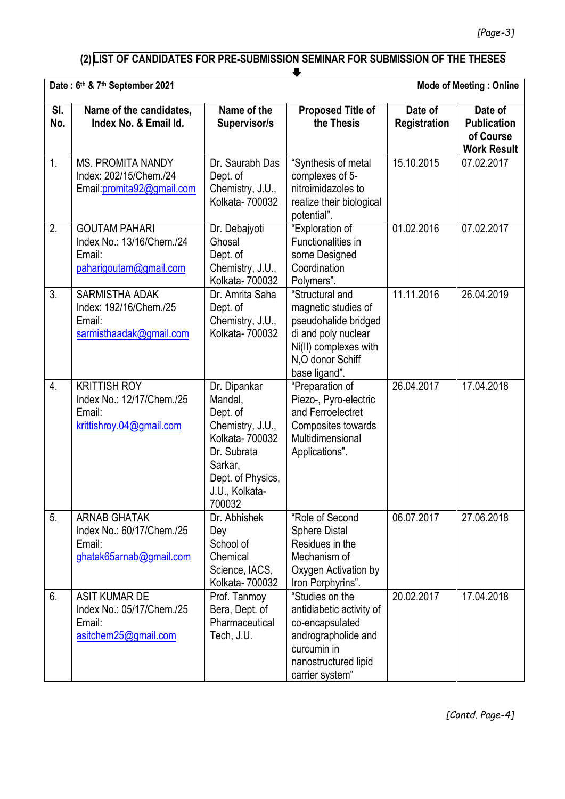# **(2) LIST OF CANDIDATES FOR PRE-SUBMISSION SEMINAR FOR SUBMISSION OF THE THESES**

|            | v                                                                                      |                                                                                                                                                       |                                                                                                                                                     |                         |                                                                  |
|------------|----------------------------------------------------------------------------------------|-------------------------------------------------------------------------------------------------------------------------------------------------------|-----------------------------------------------------------------------------------------------------------------------------------------------------|-------------------------|------------------------------------------------------------------|
|            | Date: 6th & 7th September 2021<br><b>Mode of Meeting: Online</b>                       |                                                                                                                                                       |                                                                                                                                                     |                         |                                                                  |
| SI.<br>No. | Name of the candidates,<br>Index No. & Email Id.                                       | Name of the<br>Supervisor/s                                                                                                                           | <b>Proposed Title of</b><br>the Thesis                                                                                                              | Date of<br>Registration | Date of<br><b>Publication</b><br>of Course<br><b>Work Result</b> |
| 1.         | <b>MS. PROMITA NANDY</b><br>Index: 202/15/Chem./24<br>Email: promita92@gmail.com       | Dr. Saurabh Das<br>Dept. of<br>Chemistry, J.U.,<br>Kolkata- 700032                                                                                    | "Synthesis of metal<br>complexes of 5-<br>nitroimidazoles to<br>realize their biological<br>potential".                                             | 15.10.2015              | 07.02.2017                                                       |
| 2.         | <b>GOUTAM PAHARI</b><br>Index No.: 13/16/Chem./24<br>Email:<br>paharigoutam@gmail.com  | Dr. Debajyoti<br>Ghosal<br>Dept. of<br>Chemistry, J.U.,<br>Kolkata- 700032                                                                            | "Exploration of<br>Functionalities in<br>some Designed<br>Coordination<br>Polymers".                                                                | 01.02.2016              | 07.02.2017                                                       |
| 3.         | <b>SARMISTHA ADAK</b><br>Index: 192/16/Chem./25<br>Email:<br>sarmisthaadak@gmail.com   | Dr. Amrita Saha<br>Dept. of<br>Chemistry, J.U.,<br>Kolkata- 700032                                                                                    | "Structural and<br>magnetic studies of<br>pseudohalide bridged<br>di and poly nuclear<br>Ni(II) complexes with<br>N,O donor Schiff<br>base ligand". | 11.11.2016              | 26.04.2019                                                       |
| 4.         | <b>KRITTISH ROY</b><br>Index No.: 12/17/Chem./25<br>Email:<br>krittishroy.04@gmail.com | Dr. Dipankar<br>Mandal,<br>Dept. of<br>Chemistry, J.U.,<br>Kolkata- 700032<br>Dr. Subrata<br>Sarkar,<br>Dept. of Physics,<br>J.U., Kolkata-<br>700032 | "Preparation of<br>Piezo-, Pyro-electric<br>and Ferroelectret<br>Composites towards<br>Multidimensional<br>Applications".                           | 26.04.2017              | 17.04.2018                                                       |
| 5.         | <b>ARNAB GHATAK</b><br>Index No.: 60/17/Chem./25<br>Email:<br>ghatak65arnab@gmail.com  | Dr. Abhishek<br>Dey<br>School of<br>Chemical<br>Science, IACS,<br>Kolkata- 700032                                                                     | "Role of Second<br><b>Sphere Distal</b><br>Residues in the<br>Mechanism of<br>Oxygen Activation by<br>Iron Porphyrins".                             | 06.07.2017              | 27.06.2018                                                       |
| 6.         | <b>ASIT KUMAR DE</b><br>Index No.: 05/17/Chem./25<br>Email:<br>asitchem25@gmail.com    | Prof. Tanmoy<br>Bera, Dept. of<br>Pharmaceutical<br>Tech, J.U.                                                                                        | "Studies on the<br>antidiabetic activity of<br>co-encapsulated<br>andrographolide and<br>curcumin in<br>nanostructured lipid<br>carrier system"     | 20.02.2017              | 17.04.2018                                                       |

*[Contd. Page-4]*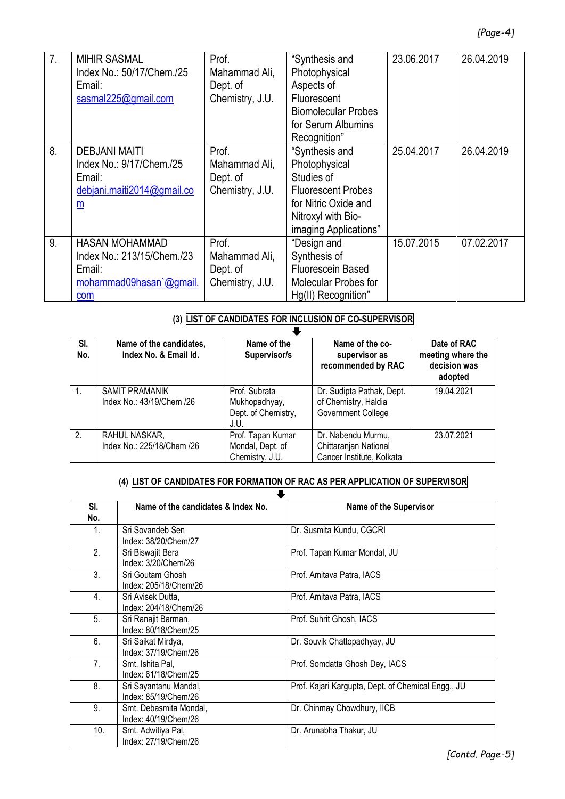| 7. | <b>MIHIR SASMAL</b><br>Index No.: 50/17/Chem./25<br>Email:<br>sasmal225@gmail.com                                    | Prof.<br>Mahammad Ali,<br>Dept of<br>Chemistry, J.U.  | "Synthesis and<br>Photophysical<br>Aspects of<br>Fluorescent<br><b>Biomolecular Probes</b><br>for Serum Albumins<br>Recognition"                  | 23.06.2017 | 26.04.2019 |
|----|----------------------------------------------------------------------------------------------------------------------|-------------------------------------------------------|---------------------------------------------------------------------------------------------------------------------------------------------------|------------|------------|
| 8. | <b>DEBJANI MAITI</b><br>Index No.: 9/17/Chem./25<br>Email:<br>debjani.maiti2014@gmail.co<br>$\underline{\mathsf{m}}$ | Prof.<br>Mahammad Ali,<br>Dept. of<br>Chemistry, J.U. | "Synthesis and<br>Photophysical<br>Studies of<br><b>Fluorescent Probes</b><br>for Nitric Oxide and<br>Nitroxyl with Bio-<br>imaging Applications" | 25.04.2017 | 26.04.2019 |
| 9. | <b>HASAN MOHAMMAD</b><br>Index No.: 213/15/Chem./23<br>Email:<br>mohammad09hasan'@gmail.<br>com                      | Prof.<br>Mahammad Ali,<br>Dept of<br>Chemistry, J.U.  | "Design and<br>Synthesis of<br><b>Fluorescein Based</b><br><b>Molecular Probes for</b><br>Hg(II) Recognition"                                     | 15.07.2015 | 07.02.2017 |

### **(3) LIST OF CANDIDATES FOR INCLUSION OF CO-SUPERVISOR**

| SI.<br>No.     | Name of the candidates,<br>Index No. & Email Id. | Name of the<br>Supervisor/s                                   | Name of the co-<br>supervisor as<br>recommended by RAC                   | Date of RAC<br>meeting where the<br>decision was<br>adopted |  |
|----------------|--------------------------------------------------|---------------------------------------------------------------|--------------------------------------------------------------------------|-------------------------------------------------------------|--|
|                | SAMIT PRAMANIK<br>Index No.: 43/19/Chem /26      | Prof. Subrata<br>Mukhopadhyay,<br>Dept. of Chemistry,<br>J.U. | Dr. Sudipta Pathak, Dept.<br>of Chemistry, Haldia<br>Government College  | 19.04.2021                                                  |  |
| 2 <sub>1</sub> | RAHUL NASKAR,<br>Index No.: 225/18/Chem /26      | Prof. Tapan Kumar<br>Mondal, Dept. of<br>Chemistry, J.U.      | Dr. Nabendu Murmu,<br>Chittaranjan National<br>Cancer Institute, Kolkata | 23.07.2021                                                  |  |

#### **(4) LIST OF CANDIDATES FOR FORMATION OF RAC AS PER APPLICATION OF SUPERVISOR**

| SI.<br>No.     | Name of the candidates & Index No.             | <b>Name of the Supervisor</b>                      |
|----------------|------------------------------------------------|----------------------------------------------------|
| 1.             | Sri Sovandeb Sen<br>Index: 38/20/Chem/27       | Dr. Susmita Kundu, CGCRI                           |
| 2.             | Sri Biswajit Bera<br>Index: 3/20/Chem/26       | Prof. Tapan Kumar Mondal, JU                       |
| 3.             | Sri Goutam Ghosh<br>Index: 205/18/Chem/26      | Prof. Amitava Patra, IACS                          |
| 4.             | Sri Avisek Dutta,<br>Index: 204/18/Chem/26     | Prof. Amitava Patra, IACS                          |
| 5.             | Sri Ranajit Barman,<br>Index: 80/18/Chem/25    | Prof. Suhrit Ghosh, IACS                           |
| 6.             | Sri Saikat Mirdya,<br>Index: 37/19/Chem/26     | Dr. Souvik Chattopadhyay, JU                       |
| 7 <sub>1</sub> | Smt. Ishita Pal,<br>Index: 61/18/Chem/25       | Prof. Somdatta Ghosh Dey, IACS                     |
| 8.             | Sri Sayantanu Mandal,<br>Index: 85/19/Chem/26  | Prof. Kajari Kargupta, Dept. of Chemical Engg., JU |
| 9.             | Smt. Debasmita Mondal.<br>Index: 40/19/Chem/26 | Dr. Chinmay Chowdhury, IICB                        |
| 10.            | Smt. Adwitiya Pal,<br>Index: 27/19/Chem/26     | Dr. Arunabha Thakur, JU                            |